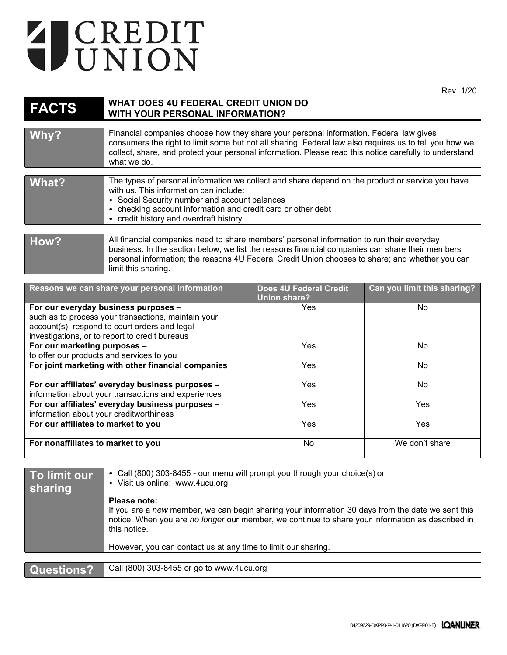## T CREDIT

Rev. 1/20

| <b>FACTS</b> | <b>WHAT DOES 4U FEDERAL CREDIT UNION DO</b><br><b>WITH YOUR PERSONAL INFORMATION?</b>                                                                                                                                                                                                                                     |
|--------------|---------------------------------------------------------------------------------------------------------------------------------------------------------------------------------------------------------------------------------------------------------------------------------------------------------------------------|
| Why?         | Financial companies choose how they share your personal information. Federal law gives<br>consumers the right to limit some but not all sharing. Federal law also requires us to tell you how we<br>collect, share, and protect your personal information. Please read this notice carefully to understand<br>what we do. |
| What?        | The types of personal information we collect and share depend on the product or service you have<br>with us. This information can include:<br>• Social Security number and account balances<br>• checking account information and credit card or other debt<br>• credit history and overdraft history                     |
| How?         | All financial companies need to share members' personal information to run their everyday<br>business. In the section below, we list the reasons financial companies can share their members'<br>personal information; the reasons 4U Federal Credit Union chooses to share; and whether you can<br>limit this sharing.   |

| Reasons we can share your personal information                                                                                                                                                 | <b>Does 4U Federal Credit</b><br><b>Union share?</b> | Can you limit this sharing? |
|------------------------------------------------------------------------------------------------------------------------------------------------------------------------------------------------|------------------------------------------------------|-----------------------------|
| For our everyday business purposes -<br>such as to process your transactions, maintain your<br>account(s), respond to court orders and legal<br>investigations, or to report to credit bureaus | Yes                                                  | No.                         |
| For our marketing purposes -<br>to offer our products and services to you                                                                                                                      | Yes                                                  | No.                         |
| For joint marketing with other financial companies                                                                                                                                             | Yes.                                                 | No.                         |
| For our affiliates' everyday business purposes -<br>information about your transactions and experiences                                                                                        | Yes                                                  | No.                         |
| For our affiliates' everyday business purposes -<br>information about your creditworthiness                                                                                                    | <b>Yes</b>                                           | Yes                         |
| For our affiliates to market to you                                                                                                                                                            | Yes                                                  | Yes                         |
| For nonaffiliates to market to you                                                                                                                                                             | No                                                   | We don't share              |

| To limit our<br>sharing | • Call (800) 303-8455 - our menu will prompt you through your choice(s) or<br>• Visit us online: www.4ucu.org                                                                                                                         |  |
|-------------------------|---------------------------------------------------------------------------------------------------------------------------------------------------------------------------------------------------------------------------------------|--|
|                         | Please note:<br>If you are a new member, we can begin sharing your information 30 days from the date we sent this<br>notice. When you are no longer our member, we continue to share your information as described in<br>this notice. |  |
|                         | However, you can contact us at any time to limit our sharing.                                                                                                                                                                         |  |
|                         |                                                                                                                                                                                                                                       |  |
| Questions?              | Call (800) 303-8455 or go to www.4ucu.org                                                                                                                                                                                             |  |